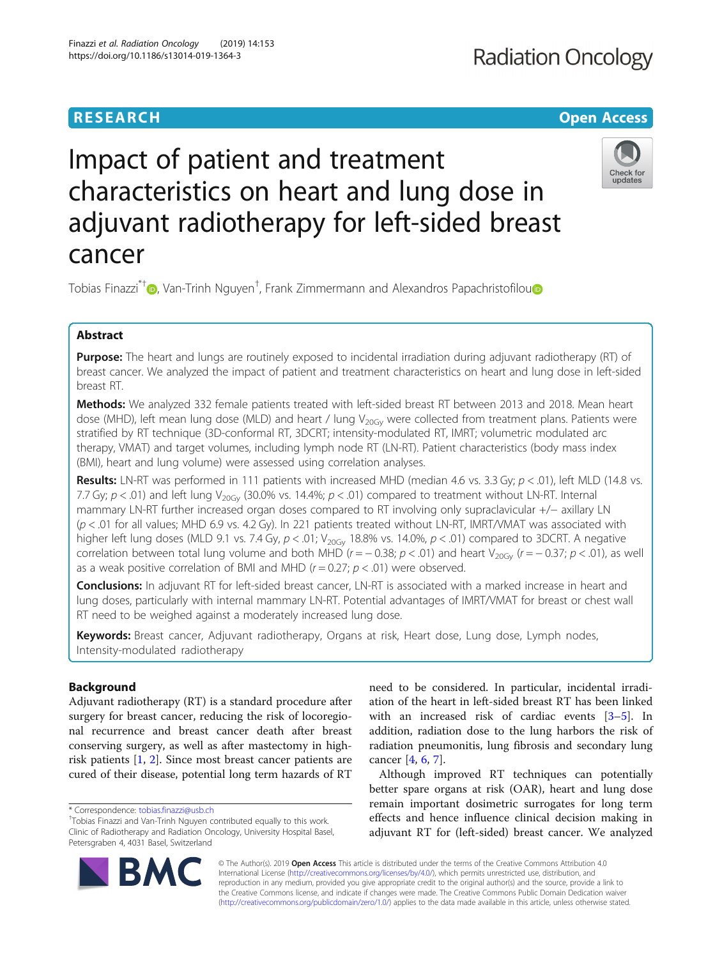## **RESEARCH CHINESE ARCH CHINESE ARCH CHINESE ARCH <b>CHINESE ARCH CHINESE ARCH CHINESE ARCH <b>CHINESE** ARCH **CHINESE ARCH** CHINESE ARCH **CHINESE ARCH** CHINESE ARCH **CHINESE ARCH 2014**

# Impact of patient and treatment characteristics on heart and lung dose in adjuvant radiotherapy for left-sided breast cancer



Tobias Finazzi<sup>\*†</sup>©[,](http://orcid.org/0000-0002-4118-4171) Van-Trinh Nguyen<sup>†</sup>, Frank Zimmermann and Alexandros Papachristofilou

## Abstract

Purpose: The heart and lungs are routinely exposed to incidental irradiation during adjuvant radiotherapy (RT) of breast cancer. We analyzed the impact of patient and treatment characteristics on heart and lung dose in left-sided breast RT.

Methods: We analyzed 332 female patients treated with left-sided breast RT between 2013 and 2018. Mean heart dose (MHD), left mean lung dose (MLD) and heart / lung  $V_{20Gv}$  were collected from treatment plans. Patients were stratified by RT technique (3D-conformal RT, 3DCRT; intensity-modulated RT, IMRT; volumetric modulated arc therapy, VMAT) and target volumes, including lymph node RT (LN-RT). Patient characteristics (body mass index (BMI), heart and lung volume) were assessed using correlation analyses.

Results: LN-RT was performed in 111 patients with increased MHD (median 4.6 vs. 3.3 Gy;  $p < .01$ ), left MLD (14.8 vs. 7.7 Gy;  $p < .01$ ) and left lung V<sub>20Gv</sub> (30.0% vs. 14.4%;  $p < .01$ ) compared to treatment without LN-RT. Internal mammary LN-RT further increased organ doses compared to RT involving only supraclavicular +/− axillary LN  $(p < .01$  for all values; MHD 6.9 vs. 4.2 Gy). In 221 patients treated without LN-RT, IMRT/VMAT was associated with higher left lung doses (MLD 9.1 vs. 7.4 Gy,  $p < .01$ ; V<sub>20Gv</sub> 18.8% vs. 14.0%,  $p < .01$ ) compared to 3DCRT. A negative correlation between total lung volume and both MHD ( $r = -0.38$ ;  $p < .01$ ) and heart V<sub>20Gy</sub> ( $r = -0.37$ ;  $p < .01$ ), as well as a weak positive correlation of BMI and MHD ( $r = 0.27$ ;  $p < .01$ ) were observed.

Conclusions: In adjuvant RT for left-sided breast cancer, LN-RT is associated with a marked increase in heart and lung doses, particularly with internal mammary LN-RT. Potential advantages of IMRT/VMAT for breast or chest wall RT need to be weighed against a moderately increased lung dose.

Keywords: Breast cancer, Adjuvant radiotherapy, Organs at risk, Heart dose, Lung dose, Lymph nodes, Intensity-modulated radiotherapy

## Background

Adjuvant radiotherapy (RT) is a standard procedure after surgery for breast cancer, reducing the risk of locoregional recurrence and breast cancer death after breast conserving surgery, as well as after mastectomy in highrisk patients [\[1](#page-6-0), [2](#page-6-0)]. Since most breast cancer patients are cured of their disease, potential long term hazards of RT

R7



Although improved RT techniques can potentially better spare organs at risk (OAR), heart and lung dose remain important dosimetric surrogates for long term effects and hence influence clinical decision making in adjuvant RT for (left-sided) breast cancer. We analyzed

© The Author(s). 2019 Open Access This article is distributed under the terms of the Creative Commons Attribution 4.0 International License [\(http://creativecommons.org/licenses/by/4.0/](http://creativecommons.org/licenses/by/4.0/)), which permits unrestricted use, distribution, and reproduction in any medium, provided you give appropriate credit to the original author(s) and the source, provide a link to the Creative Commons license, and indicate if changes were made. The Creative Commons Public Domain Dedication waiver [\(http://creativecommons.org/publicdomain/zero/1.0/](http://creativecommons.org/publicdomain/zero/1.0/)) applies to the data made available in this article, unless otherwise stated.

<sup>\*</sup> Correspondence: [tobias.finazzi@usb.ch](mailto:tobias.finazzi@usb.ch) †

Tobias Finazzi and Van-Trinh Nguyen contributed equally to this work. Clinic of Radiotherapy and Radiation Oncology, University Hospital Basel, Petersgraben 4, 4031 Basel, Switzerland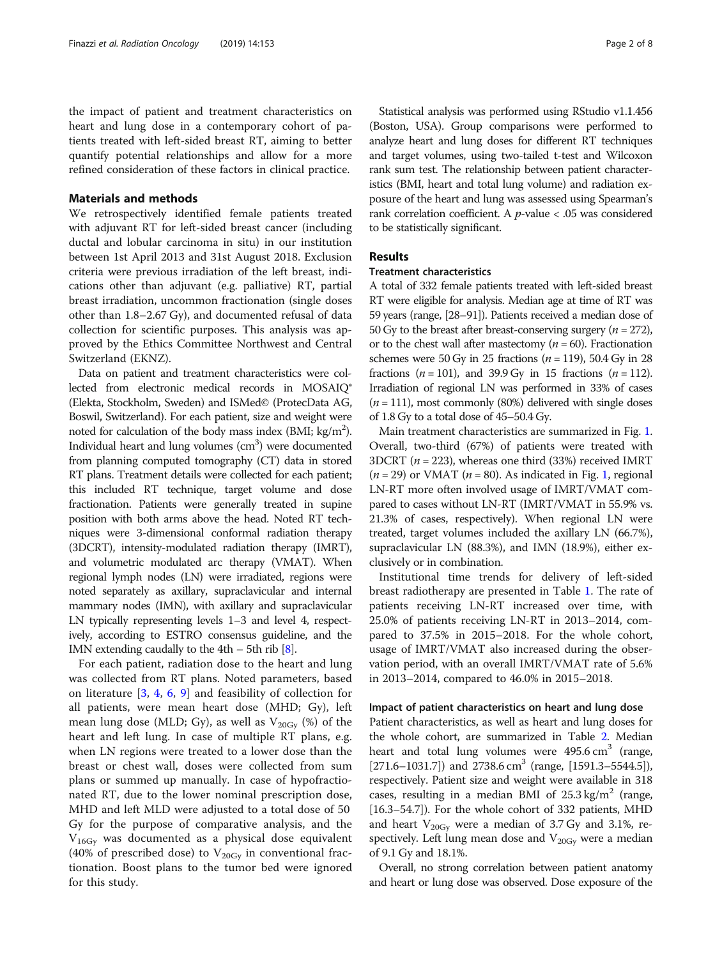the impact of patient and treatment characteristics on heart and lung dose in a contemporary cohort of patients treated with left-sided breast RT, aiming to better quantify potential relationships and allow for a more refined consideration of these factors in clinical practice.

### Materials and methods

We retrospectively identified female patients treated with adjuvant RT for left-sided breast cancer (including ductal and lobular carcinoma in situ) in our institution between 1st April 2013 and 31st August 2018. Exclusion criteria were previous irradiation of the left breast, indications other than adjuvant (e.g. palliative) RT, partial breast irradiation, uncommon fractionation (single doses other than 1.8–2.67 Gy), and documented refusal of data collection for scientific purposes. This analysis was approved by the Ethics Committee Northwest and Central Switzerland (EKNZ).

Data on patient and treatment characteristics were collected from electronic medical records in MOSAIQ® (Elekta, Stockholm, Sweden) and ISMed© (ProtecData AG, Boswil, Switzerland). For each patient, size and weight were noted for calculation of the body mass index (BMI;  $\text{kg/m}^2$ ). Individual heart and lung volumes (cm<sup>3</sup>) were documented from planning computed tomography (CT) data in stored RT plans. Treatment details were collected for each patient; this included RT technique, target volume and dose fractionation. Patients were generally treated in supine position with both arms above the head. Noted RT techniques were 3-dimensional conformal radiation therapy (3DCRT), intensity-modulated radiation therapy (IMRT), and volumetric modulated arc therapy (VMAT). When regional lymph nodes (LN) were irradiated, regions were noted separately as axillary, supraclavicular and internal mammary nodes (IMN), with axillary and supraclavicular LN typically representing levels 1–3 and level 4, respectively, according to ESTRO consensus guideline, and the IMN extending caudally to the  $4th - 5th$  rib  $[8]$ .

For each patient, radiation dose to the heart and lung was collected from RT plans. Noted parameters, based on literature [\[3](#page-6-0), [4](#page-6-0), [6,](#page-6-0) [9\]](#page-6-0) and feasibility of collection for all patients, were mean heart dose (MHD; Gy), left mean lung dose (MLD; Gy), as well as  $V_{20\text{Gy}}$  (%) of the heart and left lung. In case of multiple RT plans, e.g. when LN regions were treated to a lower dose than the breast or chest wall, doses were collected from sum plans or summed up manually. In case of hypofractionated RT, due to the lower nominal prescription dose, MHD and left MLD were adjusted to a total dose of 50 Gy for the purpose of comparative analysis, and the  $V_{16Gy}$  was documented as a physical dose equivalent (40% of prescribed dose) to  $V_{20\text{Gy}}$  in conventional fractionation. Boost plans to the tumor bed were ignored for this study.

Statistical analysis was performed using RStudio v1.1.456 (Boston, USA). Group comparisons were performed to analyze heart and lung doses for different RT techniques and target volumes, using two-tailed t-test and Wilcoxon rank sum test. The relationship between patient characteristics (BMI, heart and total lung volume) and radiation exposure of the heart and lung was assessed using Spearman's rank correlation coefficient. A p-value < .05 was considered to be statistically significant.

## Results

## Treatment characteristics

A total of 332 female patients treated with left-sided breast RT were eligible for analysis. Median age at time of RT was 59 years (range, [28–91]). Patients received a median dose of 50 Gy to the breast after breast-conserving surgery ( $n = 272$ ), or to the chest wall after mastectomy ( $n = 60$ ). Fractionation schemes were 50 Gy in 25 fractions ( $n = 119$ ), 50.4 Gy in 28 fractions ( $n = 101$ ), and 39.9 Gy in 15 fractions ( $n = 112$ ). Irradiation of regional LN was performed in 33% of cases  $(n = 111)$ , most commonly (80%) delivered with single doses of 1.8 Gy to a total dose of 45–50.4 Gy.

Main treatment characteristics are summarized in Fig. [1](#page-2-0). Overall, two-third (67%) of patients were treated with 3DCRT ( $n = 223$ ), whereas one third (33%) received IMRT  $(n = 29)$  or VMAT  $(n = 80)$ . As indicated in Fig. [1,](#page-2-0) regional LN-RT more often involved usage of IMRT/VMAT compared to cases without LN-RT (IMRT/VMAT in 55.9% vs. 21.3% of cases, respectively). When regional LN were treated, target volumes included the axillary LN (66.7%), supraclavicular LN (88.3%), and IMN (18.9%), either exclusively or in combination.

Institutional time trends for delivery of left-sided breast radiotherapy are presented in Table [1](#page-2-0). The rate of patients receiving LN-RT increased over time, with 25.0% of patients receiving LN-RT in 2013–2014, compared to 37.5% in 2015–2018. For the whole cohort, usage of IMRT/VMAT also increased during the observation period, with an overall IMRT/VMAT rate of 5.6% in 2013–2014, compared to 46.0% in 2015–2018.

#### Impact of patient characteristics on heart and lung dose

Patient characteristics, as well as heart and lung doses for the whole cohort, are summarized in Table [2.](#page-3-0) Median heart and total lung volumes were  $495.6 \text{ cm}^3$  (range, [271.6–1031.7]) and 2738.6 cm<sup>3</sup> (range, [1591.3–5544.5]), respectively. Patient size and weight were available in 318 cases, resulting in a median BMI of  $25.3 \text{ kg/m}^2$  (range, [16.3–54.7]). For the whole cohort of 332 patients, MHD and heart  $V_{20Gy}$  were a median of 3.7 Gy and 3.1%, respectively. Left lung mean dose and  $V_{20\text{Gy}}$  were a median of 9.1 Gy and 18.1%.

Overall, no strong correlation between patient anatomy and heart or lung dose was observed. Dose exposure of the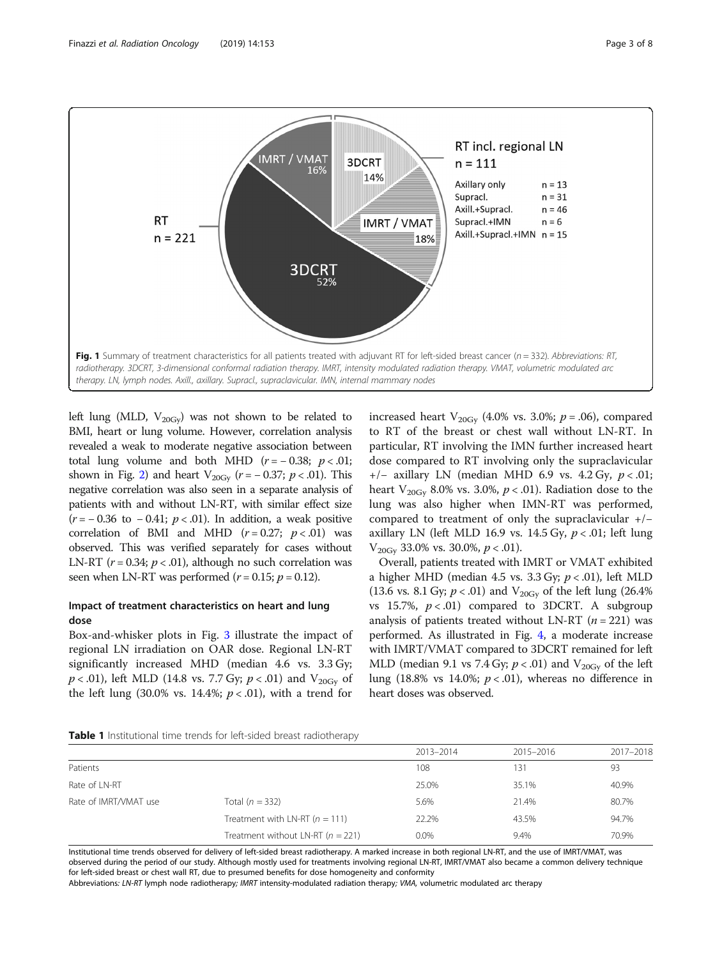<span id="page-2-0"></span>

left lung (MLD,  $V_{20\text{Gv}}$ ) was not shown to be related to BMI, heart or lung volume. However, correlation analysis revealed a weak to moderate negative association between total lung volume and both MHD  $(r = -0.38; p < .01;$ shown in Fig. [2](#page-3-0)) and heart  $V_{20\text{Gy}}$  ( $r = -0.37$ ;  $p < .01$ ). This negative correlation was also seen in a separate analysis of patients with and without LN-RT, with similar effect size  $(r = -0.36 \text{ to } -0.41; p < .01)$ . In addition, a weak positive correlation of BMI and MHD  $(r = 0.27; p < .01)$  was observed. This was verified separately for cases without LN-RT ( $r = 0.34$ ;  $p < .01$ ), although no such correlation was seen when LN-RT was performed ( $r = 0.15$ ;  $p = 0.12$ ).

## Impact of treatment characteristics on heart and lung dose

Box-and-whisker plots in Fig. [3](#page-4-0) illustrate the impact of regional LN irradiation on OAR dose. Regional LN-RT significantly increased MHD (median 4.6 vs. 3.3 Gy;  $p < .01$ ), left MLD (14.8 vs. 7.7 Gy;  $p < .01$ ) and V<sub>20Gy</sub> of the left lung (30.0% vs. 14.4%;  $p < .01$ ), with a trend for

increased heart  $V_{20\text{Gy}}$  (4.0% vs. 3.0%;  $p = .06$ ), compared to RT of the breast or chest wall without LN-RT. In particular, RT involving the IMN further increased heart dose compared to RT involving only the supraclavicular +/− axillary LN (median MHD 6.9 vs. 4.2 Gy, p < .01; heart  $V_{20\text{Gv}}$  8.0% vs. 3.0%,  $p < .01$ ). Radiation dose to the lung was also higher when IMN-RT was performed, compared to treatment of only the supraclavicular +/− axillary LN (left MLD 16.9 vs. 14.5 Gy,  $p < .01$ ; left lung  $V_{20\text{Gv}}$  33.0% vs. 30.0%,  $p < .01$ ).

Overall, patients treated with IMRT or VMAT exhibited a higher MHD (median 4.5 vs.  $3.3 \text{ Gy}$ ;  $p < .01$ ), left MLD (13.6 vs. 8.1 Gy;  $p < .01$ ) and V<sub>20Gy</sub> of the left lung (26.4%) vs 15.7%,  $p < .01$ ) compared to 3DCRT. A subgroup analysis of patients treated without LN-RT ( $n = 221$ ) was performed. As illustrated in Fig. [4](#page-5-0), a moderate increase with IMRT/VMAT compared to 3DCRT remained for left MLD (median 9.1 vs 7.4 Gy;  $p < .01$ ) and V<sub>20Gy</sub> of the left lung (18.8% vs 14.0%;  $p < .01$ ), whereas no difference in heart doses was observed.

| Table 1 Institutional time trends for left-sided breast radiotherapy |
|----------------------------------------------------------------------|
|----------------------------------------------------------------------|

|                       |                                       | 2013-2014 | 2015-2016 | 2017-2018 |
|-----------------------|---------------------------------------|-----------|-----------|-----------|
| Patients              |                                       | 108       | 131       | 93        |
| Rate of LN-RT         |                                       | 25.0%     | 35.1%     | 40.9%     |
| Rate of IMRT/VMAT use | Total $(n = 332)$                     | 5.6%      | 21.4%     | 80.7%     |
|                       | Treatment with LN-RT $(n = 111)$      | 22.2%     | 43.5%     | 94.7%     |
|                       | Treatment without LN-RT ( $n = 221$ ) | $0.0\%$   | 9.4%      | 70.9%     |

Institutional time trends observed for delivery of left-sided breast radiotherapy. A marked increase in both regional LN-RT, and the use of IMRT/VMAT, was observed during the period of our study. Although mostly used for treatments involving regional LN-RT, IMRT/VMAT also became a common delivery technique for left-sided breast or chest wall RT, due to presumed benefits for dose homogeneity and conformity

Abbreviations: LN-RT lymph node radiotherapy; IMRT intensity-modulated radiation therapy; VMA, volumetric modulated arc therapy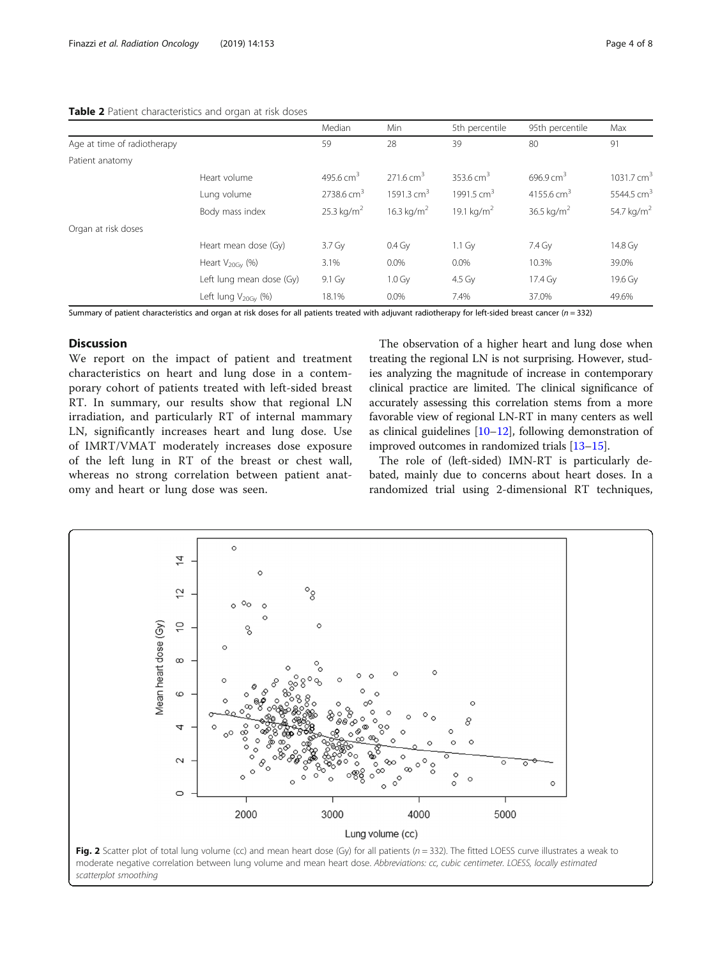### <span id="page-3-0"></span>Table 2 Patient characteristics and organ at risk doses

|                             |                             | Median                   | Min                    | 5th percentile         | 95th percentile        | Max                    |
|-----------------------------|-----------------------------|--------------------------|------------------------|------------------------|------------------------|------------------------|
| Age at time of radiotherapy |                             | 59                       | 28                     | 39                     | 80                     | 91                     |
| Patient anatomy             |                             |                          |                        |                        |                        |                        |
|                             | Heart volume                | 495.6 $cm3$              | $271.6 \text{ cm}^3$   | 353.6 $cm3$            | $696.9 \text{ cm}^3$   | 1031.7 $cm3$           |
|                             | Lung volume                 | $2738.6$ cm <sup>3</sup> | 1591.3 $cm3$           | 1991.5 $cm3$           | 4155.6 cm <sup>3</sup> | 5544.5 cm <sup>3</sup> |
|                             | Body mass index             | $25.3 \text{ kg/m}^2$    | 16.3 kg/m <sup>2</sup> | 19.1 kg/m <sup>2</sup> | 36.5 kg/m <sup>2</sup> | 54.7 kg/m <sup>2</sup> |
| Organ at risk doses         |                             |                          |                        |                        |                        |                        |
|                             | Heart mean dose (Gy)        | $3.7 \text{ Gy}$         | $0.4\,\mathrm{Gy}$     | $1.1$ Gy               | 7.4 Gy                 | 14.8 Gy                |
|                             | Heart $V_{20\text{Gv}}$ (%) | 3.1%                     | $0.0\%$                | $0.0\%$                | 10.3%                  | 39.0%                  |
|                             | Left lung mean dose (Gy)    | 9.1 Gy                   | $1.0 \text{ Gy}$       | 4.5 Gv                 | 17.4 Gy                | 19.6 Gv                |
|                             | Left lung $V_{20Gy}$ (%)    | 18.1%                    | $0.0\%$                | 7.4%                   | 37.0%                  | 49.6%                  |

Summary of patient characteristics and organ at risk doses for all patients treated with adjuvant radiotherapy for left-sided breast cancer ( $n = 332$ )

## Discussion

We report on the impact of patient and treatment characteristics on heart and lung dose in a contemporary cohort of patients treated with left-sided breast RT. In summary, our results show that regional LN irradiation, and particularly RT of internal mammary LN, significantly increases heart and lung dose. Use of IMRT/VMAT moderately increases dose exposure of the left lung in RT of the breast or chest wall, whereas no strong correlation between patient anatomy and heart or lung dose was seen.

The observation of a higher heart and lung dose when treating the regional LN is not surprising. However, studies analyzing the magnitude of increase in contemporary clinical practice are limited. The clinical significance of accurately assessing this correlation stems from a more favorable view of regional LN-RT in many centers as well as clinical guidelines [\[10](#page-6-0)–[12\]](#page-6-0), following demonstration of improved outcomes in randomized trials [[13](#page-6-0)–[15\]](#page-6-0).

The role of (left-sided) IMN-RT is particularly debated, mainly due to concerns about heart doses. In a randomized trial using 2-dimensional RT techniques,

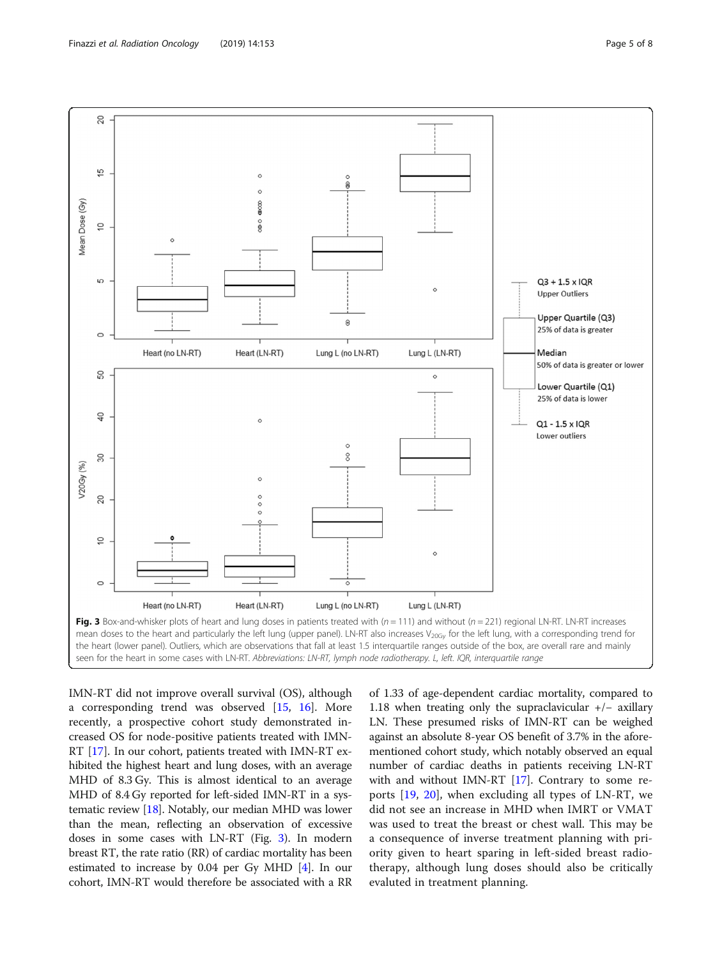<span id="page-4-0"></span>

IMN-RT did not improve overall survival (OS), although a corresponding trend was observed [\[15](#page-6-0), [16](#page-6-0)]. More recently, a prospective cohort study demonstrated increased OS for node-positive patients treated with IMN-RT [[17\]](#page-6-0). In our cohort, patients treated with IMN-RT exhibited the highest heart and lung doses, with an average MHD of 8.3 Gy. This is almost identical to an average MHD of 8.4 Gy reported for left-sided IMN-RT in a systematic review [\[18\]](#page-7-0). Notably, our median MHD was lower than the mean, reflecting an observation of excessive doses in some cases with LN-RT (Fig. 3). In modern breast RT, the rate ratio (RR) of cardiac mortality has been estimated to increase by  $0.04$  per Gy MHD [\[4\]](#page-6-0). In our cohort, IMN-RT would therefore be associated with a RR

of 1.33 of age-dependent cardiac mortality, compared to 1.18 when treating only the supraclavicular +/− axillary LN. These presumed risks of IMN-RT can be weighed against an absolute 8-year OS benefit of 3.7% in the aforementioned cohort study, which notably observed an equal number of cardiac deaths in patients receiving LN-RT with and without IMN-RT [\[17\]](#page-6-0). Contrary to some reports [\[19](#page-7-0), [20\]](#page-7-0), when excluding all types of LN-RT, we did not see an increase in MHD when IMRT or VMAT was used to treat the breast or chest wall. This may be a consequence of inverse treatment planning with priority given to heart sparing in left-sided breast radiotherapy, although lung doses should also be critically evaluted in treatment planning.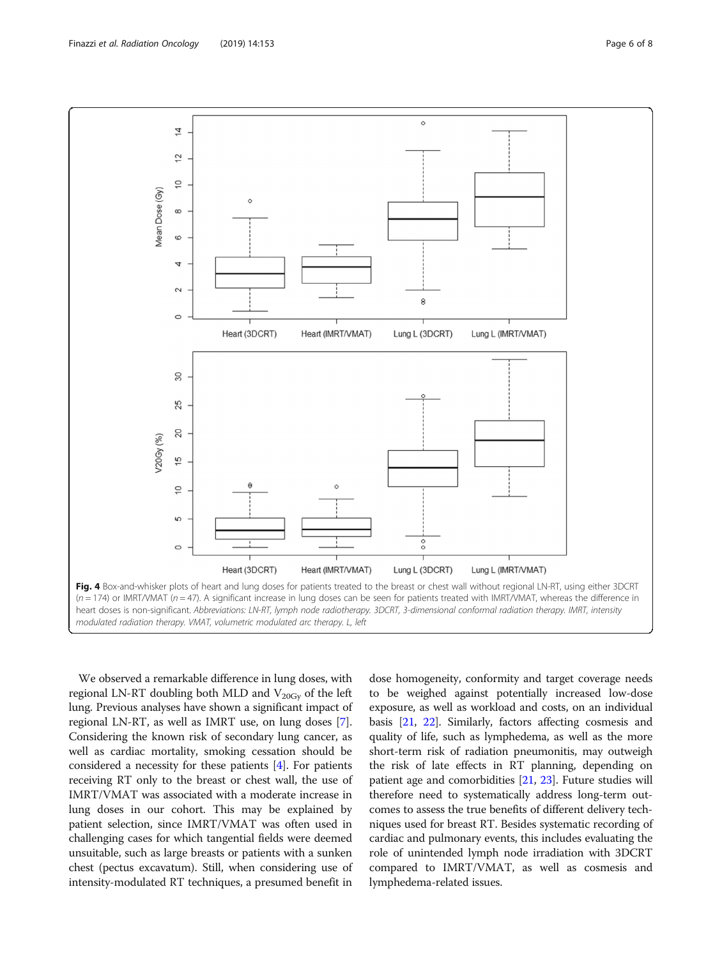<span id="page-5-0"></span>

We observed a remarkable difference in lung doses, with regional LN-RT doubling both MLD and  $V_{20Gy}$  of the left lung. Previous analyses have shown a significant impact of regional LN-RT, as well as IMRT use, on lung doses [[7](#page-6-0)]. Considering the known risk of secondary lung cancer, as well as cardiac mortality, smoking cessation should be considered a necessity for these patients [\[4](#page-6-0)]. For patients receiving RT only to the breast or chest wall, the use of IMRT/VMAT was associated with a moderate increase in lung doses in our cohort. This may be explained by patient selection, since IMRT/VMAT was often used in challenging cases for which tangential fields were deemed unsuitable, such as large breasts or patients with a sunken chest (pectus excavatum). Still, when considering use of intensity-modulated RT techniques, a presumed benefit in dose homogeneity, conformity and target coverage needs to be weighed against potentially increased low-dose exposure, as well as workload and costs, on an individual basis [\[21,](#page-7-0) [22\]](#page-7-0). Similarly, factors affecting cosmesis and quality of life, such as lymphedema, as well as the more short-term risk of radiation pneumonitis, may outweigh the risk of late effects in RT planning, depending on patient age and comorbidities [\[21,](#page-7-0) [23\]](#page-7-0). Future studies will therefore need to systematically address long-term outcomes to assess the true benefits of different delivery techniques used for breast RT. Besides systematic recording of cardiac and pulmonary events, this includes evaluating the role of unintended lymph node irradiation with 3DCRT compared to IMRT/VMAT, as well as cosmesis and lymphedema-related issues.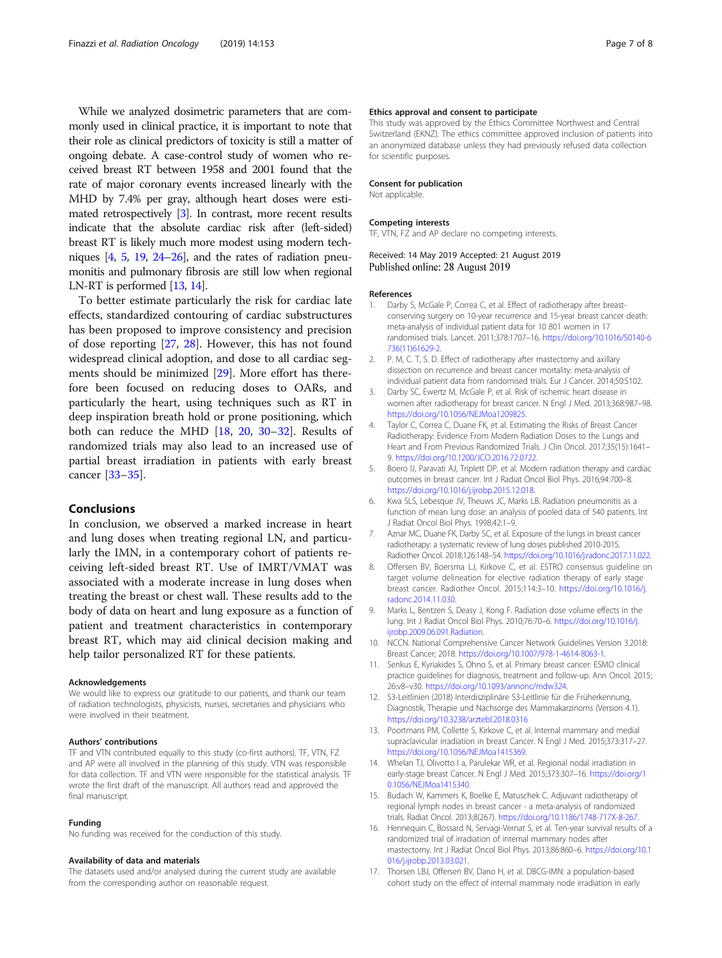<span id="page-6-0"></span>While we analyzed dosimetric parameters that are commonly used in clinical practice, it is important to note that their role as clinical predictors of toxicity is still a matter of ongoing debate. A case-control study of women who received breast RT between 1958 and 2001 found that the rate of major coronary events increased linearly with the MHD by 7.4% per gray, although heart doses were estimated retrospectively [3]. In contrast, more recent results indicate that the absolute cardiac risk after (left-sided) breast RT is likely much more modest using modern techniques [4, 5, [19](#page-7-0), [24](#page-7-0)–[26\]](#page-7-0), and the rates of radiation pneumonitis and pulmonary fibrosis are still low when regional LN-RT is performed [13, 14].

To better estimate particularly the risk for cardiac late effects, standardized contouring of cardiac substructures has been proposed to improve consistency and precision of dose reporting [[27,](#page-7-0) [28](#page-7-0)]. However, this has not found widespread clinical adoption, and dose to all cardiac segments should be minimized [[29\]](#page-7-0). More effort has therefore been focused on reducing doses to OARs, and particularly the heart, using techniques such as RT in deep inspiration breath hold or prone positioning, which both can reduce the MHD [\[18,](#page-7-0) [20,](#page-7-0) [30](#page-7-0)–[32\]](#page-7-0). Results of randomized trials may also lead to an increased use of partial breast irradiation in patients with early breast cancer [[33](#page-7-0)–[35](#page-7-0)].

#### Conclusions

In conclusion, we observed a marked increase in heart and lung doses when treating regional LN, and particularly the IMN, in a contemporary cohort of patients receiving left-sided breast RT. Use of IMRT/VMAT was associated with a moderate increase in lung doses when treating the breast or chest wall. These results add to the body of data on heart and lung exposure as a function of patient and treatment characteristics in contemporary breast RT, which may aid clinical decision making and help tailor personalized RT for these patients.

#### Acknowledgements

We would like to express our gratitude to our patients, and thank our team of radiation technologists, physicists, nurses, secretaries and physicians who were involved in their treatment.

#### Authors' contributions

TF and VTN contributed equally to this study (co-first authors). TF, VTN, FZ and AP were all involved in the planning of this study. VTN was responsible for data collection. TF and VTN were responsible for the statistical analysis. TF wrote the first draft of the manuscript. All authors read and approved the final manuscript.

#### Funding

No funding was received for the conduction of this study.

#### Availability of data and materials

The datasets used and/or analysed during the current study are available from the corresponding author on reasonable request.

#### Ethics approval and consent to participate

This study was approved by the Ethics Committee Northwest and Central Switzerland (EKNZ). The ethics committee approved inclusion of patients into an anonymized database unless they had previously refused data collection for scientific purposes.

#### Consent for publication

Not applicable.

#### Competing interests

TF, VTN, FZ and AP declare no competing interests.

#### Received: 14 May 2019 Accepted: 21 August 2019 Published online: 28 August 2019

#### References

- 1. Darby S, McGale P, Correa C, et al. Effect of radiotherapy after breastconserving surgery on 10-year recurrence and 15-year breast cancer death: meta-analysis of individual patient data for 10 801 women in 17 randomised trials. Lancet. 2011;378:1707–16. [https://doi.org/10.1016/S0140-6](https://doi.org/10.1016/S0140-6736(11)61629-2) [736\(11\)61629-2](https://doi.org/10.1016/S0140-6736(11)61629-2).
- 2. P. M, C. T, S. D. Effect of radiotherapy after mastectomy and axillary dissection on recurrence and breast cancer mortality: meta-analysis of individual patient data from randomised trials. Eur J Cancer. 2014;50:S102.
- 3. Darby SC, Ewertz M, McGale P, et al. Risk of ischemic heart disease in women after radiotherapy for breast cancer. N Engl J Med. 2013;368:987–98. [https://doi.org/10.1056/NEJMoa1209825.](https://doi.org/10.1056/NEJMoa1209825)
- 4. Taylor C, Correa C, Duane FK, et al. Estimating the Risks of Breast Cancer Radiotherapy: Evidence From Modern Radiation Doses to the Lungs and Heart and From Previous Randomized Trials. J Clin Oncol. 2017;35(15):1641– 9. [https://doi.org/10.1200/JCO.2016.72.0722.](https://doi.org/10.1200/JCO.2016.72.0722)
- 5. Boero IJ, Paravati AJ, Triplett DP, et al. Modern radiation therapy and cardiac outcomes in breast cancer. Int J Radiat Oncol Biol Phys. 2016;94:700–8. <https://doi.org/10.1016/j.ijrobp.2015.12.018>.
- 6. Kwa SLS, Lebesque JV, Theuws JC, Marks LB. Radiation pneumonitis as a function of mean lung dose: an analysis of pooled data of 540 patients. Int J Radiat Oncol Biol Phys. 1998;42:1–9.
- 7. Aznar MC, Duane FK, Darby SC, et al. Exposure of the lungs in breast cancer radiotherapy: a systematic review of lung doses published 2010-2015. Radiother Oncol. 2018;126:148–54. <https://doi.org/10.1016/j.radonc.2017.11.022>.
- 8. Offersen BV, Boersma LJ, Kirkove C, et al. ESTRO consensus guideline on target volume delineation for elective radiation therapy of early stage breast cancer. Radiother Oncol. 2015;114:3–10. [https://doi.org/10.1016/j.](https://doi.org/10.1016/j.radonc.2014.11.030) [radonc.2014.11.030](https://doi.org/10.1016/j.radonc.2014.11.030).
- 9. Marks L, Bentzen S, Deasy J, Kong F. Radiation dose volume effects in the lung. Int J Radiat Oncol Biol Phys. 2010;76:70–6. [https://doi.org/10.1016/j.](https://doi.org/10.1016/j.ijrobp.2009.06.091.Radiation) [ijrobp.2009.06.091.Radiation](https://doi.org/10.1016/j.ijrobp.2009.06.091.Radiation).
- 10. NCCN. National Comprehensive Cancer Network Guidelines Version 3.2018: Breast Cancer; 2018. [https://doi.org/10.1007/978-1-4614-8063-1.](https://doi.org/10.1007/978-1-4614-8063-1)
- 11. Senkus E, Kyriakides S, Ohno S, et al. Primary breast cancer: ESMO clinical practice guidelines for diagnosis, treatment and follow-up. Ann Oncol. 2015; 26:v8–v30. <https://doi.org/10.1093/annonc/mdw324>.
- 12. S3-Leitlinien (2018) Interdisziplinäre S3-Leitlinie für die Früherkennung, Diagnostik, Therapie und Nachsorge des Mammakarzinoms (Version 4.1). <https://doi.org/10.3238/arztebl.2018.0316>
- 13. Poortmans PM, Collette S, Kirkove C, et al. Internal mammary and medial supraclavicular irradiation in breast Cancer. N Engl J Med. 2015;373:317–27. [https://doi.org/10.1056/NEJMoa1415369.](https://doi.org/10.1056/NEJMoa1415369)
- 14. Whelan TJ, Olivotto I a, Parulekar WR, et al. Regional nodal irradiation in early-stage breast Cancer. N Engl J Med. 2015;373:307–16. [https://doi.org/1](https://doi.org/10.1056/NEJMoa1415340) [0.1056/NEJMoa1415340.](https://doi.org/10.1056/NEJMoa1415340)
- 15. Budach W, Kammers K, Boelke E, Matuschek C. Adjuvant radiotherapy of regional lymph nodes in breast cancer - a meta-analysis of randomized trials. Radiat Oncol. 2013;8(267). <https://doi.org/10.1186/1748-717X-8-267>.
- 16. Hennequin C, Bossard N, Servagi-Vernat S, et al. Ten-year survival results of a randomized trial of irradiation of internal mammary nodes after mastectomy. Int J Radiat Oncol Biol Phys. 2013;86:860–6. [https://doi.org/10.1](https://doi.org/10.1016/j.ijrobp.2013.03.021) [016/j.ijrobp.2013.03.021.](https://doi.org/10.1016/j.ijrobp.2013.03.021)
- 17. Thorsen LBJ, Offersen BV, Dano H, et al. DBCG-IMN: a population-based cohort study on the effect of internal mammary node irradiation in early